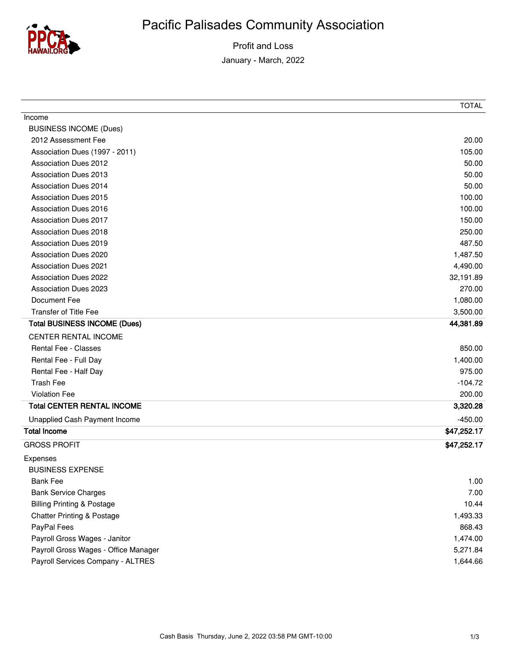

Profit and Loss January - March, 2022

| Income                                |             |
|---------------------------------------|-------------|
| <b>BUSINESS INCOME (Dues)</b>         |             |
| 2012 Assessment Fee                   | 20.00       |
| Association Dues (1997 - 2011)        | 105.00      |
| <b>Association Dues 2012</b>          | 50.00       |
| <b>Association Dues 2013</b>          | 50.00       |
| <b>Association Dues 2014</b>          | 50.00       |
| <b>Association Dues 2015</b>          | 100.00      |
| <b>Association Dues 2016</b>          | 100.00      |
| <b>Association Dues 2017</b>          | 150.00      |
| <b>Association Dues 2018</b>          | 250.00      |
| <b>Association Dues 2019</b>          | 487.50      |
| <b>Association Dues 2020</b>          | 1,487.50    |
| <b>Association Dues 2021</b>          | 4,490.00    |
| <b>Association Dues 2022</b>          | 32,191.89   |
| <b>Association Dues 2023</b>          | 270.00      |
| Document Fee                          | 1,080.00    |
| <b>Transfer of Title Fee</b>          | 3,500.00    |
| <b>Total BUSINESS INCOME (Dues)</b>   | 44,381.89   |
| CENTER RENTAL INCOME                  |             |
| Rental Fee - Classes                  | 850.00      |
| Rental Fee - Full Day                 | 1,400.00    |
| Rental Fee - Half Day                 | 975.00      |
| <b>Trash Fee</b>                      | $-104.72$   |
| <b>Violation Fee</b>                  | 200.00      |
| <b>Total CENTER RENTAL INCOME</b>     | 3,320.28    |
| Unapplied Cash Payment Income         | $-450.00$   |
| <b>Total Income</b>                   | \$47,252.17 |
| <b>GROSS PROFIT</b>                   | \$47,252.17 |
| Expenses                              |             |
| <b>BUSINESS EXPENSE</b>               |             |
| <b>Bank Fee</b>                       | 1.00        |
| <b>Bank Service Charges</b>           | 7.00        |
| <b>Billing Printing &amp; Postage</b> | 10.44       |
| <b>Chatter Printing &amp; Postage</b> | 1,493.33    |
| PayPal Fees                           | 868.43      |
| Payroll Gross Wages - Janitor         | 1,474.00    |
| Payroll Gross Wages - Office Manager  | 5,271.84    |
| Payroll Services Company - ALTRES     | 1,644.66    |
|                                       |             |

TOTAL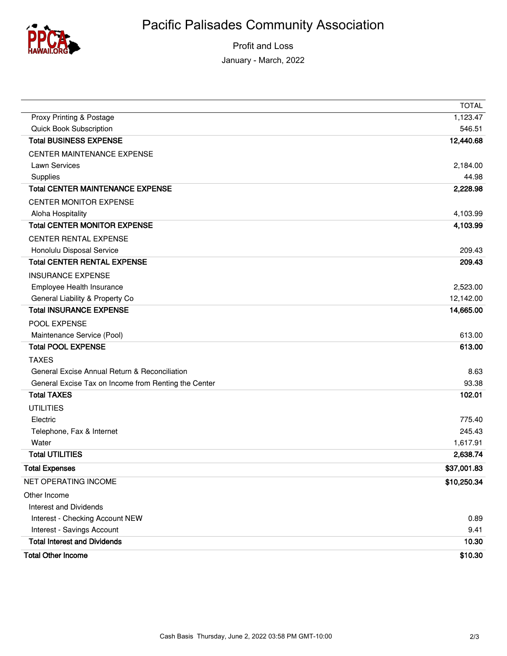

Profit and Loss January - March, 2022

|                                                      | <b>TOTAL</b> |
|------------------------------------------------------|--------------|
| Proxy Printing & Postage                             | 1,123.47     |
| Quick Book Subscription                              | 546.51       |
| <b>Total BUSINESS EXPENSE</b>                        | 12,440.68    |
| <b>CENTER MAINTENANCE EXPENSE</b>                    |              |
| Lawn Services                                        | 2,184.00     |
| Supplies                                             | 44.98        |
| <b>Total CENTER MAINTENANCE EXPENSE</b>              | 2,228.98     |
| <b>CENTER MONITOR EXPENSE</b>                        |              |
| Aloha Hospitality                                    | 4,103.99     |
| <b>Total CENTER MONITOR EXPENSE</b>                  | 4,103.99     |
| <b>CENTER RENTAL EXPENSE</b>                         |              |
| Honolulu Disposal Service                            | 209.43       |
| <b>Total CENTER RENTAL EXPENSE</b>                   | 209.43       |
| <b>INSURANCE EXPENSE</b>                             |              |
| Employee Health Insurance                            | 2,523.00     |
| General Liability & Property Co                      | 12,142.00    |
| <b>Total INSURANCE EXPENSE</b>                       | 14,665.00    |
| POOL EXPENSE                                         |              |
| Maintenance Service (Pool)                           | 613.00       |
| <b>Total POOL EXPENSE</b>                            | 613.00       |
| <b>TAXES</b>                                         |              |
| General Excise Annual Return & Reconciliation        | 8.63         |
| General Excise Tax on Income from Renting the Center | 93.38        |
| <b>Total TAXES</b>                                   | 102.01       |
| <b>UTILITIES</b>                                     |              |
| Electric                                             | 775.40       |
| Telephone, Fax & Internet                            | 245.43       |
| Water                                                | 1,617.91     |
| <b>Total UTILITIES</b>                               | 2,638.74     |
| <b>Total Expenses</b>                                | \$37,001.83  |
| NET OPERATING INCOME                                 | \$10,250.34  |
| Other Income                                         |              |
| Interest and Dividends                               |              |
| Interest - Checking Account NEW                      | 0.89         |
| Interest - Savings Account                           | 9.41         |
| <b>Total Interest and Dividends</b>                  | 10.30        |
| <b>Total Other Income</b>                            | \$10.30      |